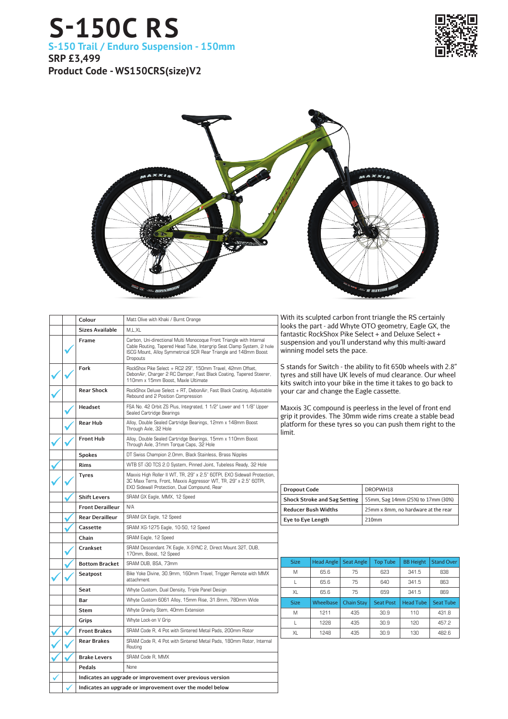## **S-150C RS S-150 Trail / Enduro Suspension - 150mm SRP £3,499**

**Product Code - WS150CRS(size)V2**





|  | Colour                                                   | Matt Olive with Khaki / Burnt Orange                                                                                                                                                                                         |  |
|--|----------------------------------------------------------|------------------------------------------------------------------------------------------------------------------------------------------------------------------------------------------------------------------------------|--|
|  | <b>Sizes Available</b>                                   | M.L.XL                                                                                                                                                                                                                       |  |
|  | Frame                                                    | Carbon, Uni-directional Multi Monocoque Front Triangle with Internal<br>Cable Routing, Tapered Head Tube, Intergrip Seat Clamp System, 2 hole<br>ISCG Mount, Alloy Symmetrical SCR Rear Triangle and 148mm Boost<br>Dropouts |  |
|  | Fork                                                     | RockShox Pike Select + RC2 29", 150mm Travel, 42mm Offset,<br>DebonAir, Charger 2 RC Damper, Fast Black Coating, Tapered Steerer,<br>110mm x 15mm Boost, Maxle Ultimate                                                      |  |
|  | <b>Rear Shock</b>                                        | RockShox Deluxe Select + RT, DebonAir, Fast Black Coating, Adjustable<br>Rebound and 2 Position Compression                                                                                                                  |  |
|  | Headset                                                  | FSA No. 42 Orbit ZS Plus, Integrated, 1 1/2" Lower and 1 1/8" Upper<br>Sealed Cartridge Bearings                                                                                                                             |  |
|  | Rear Hub                                                 | Alloy, Double Sealed Cartridge Bearings, 12mm x 148mm Boost<br>Through Axle, 32 Hole                                                                                                                                         |  |
|  | <b>Front Hub</b>                                         | Alloy, Double Sealed Cartridge Bearings, 15mm x 110mm Boost<br>Through Axle, 31mm Torque Caps, 32 Hole                                                                                                                       |  |
|  | <b>Spokes</b>                                            | DT Swiss Champion 2.0mm, Black Stainless, Brass Nipples                                                                                                                                                                      |  |
|  | <b>Rims</b>                                              | WTB ST i30 TCS 2.0 System, Pinned Joint, Tubeless Ready, 32 Hole                                                                                                                                                             |  |
|  | <b>Tyres</b>                                             | Maxxis High Roller II WT, TR, 29" x 2.5" 60TPI, EXO Sidewall Protection,<br>3C Maxx Terra, Front, Maxxis Aggressor WT, TR, 29" x 2.5" 60TPI,<br>EXO Sidewall Protection, Dual Compound, Rear                                 |  |
|  | <b>Shift Levers</b>                                      | SRAM GX Eagle, MMX, 12 Speed                                                                                                                                                                                                 |  |
|  | <b>Front Derailleur</b>                                  | N/A                                                                                                                                                                                                                          |  |
|  | <b>Rear Derailleur</b>                                   | SRAM GX Eagle, 12 Speed                                                                                                                                                                                                      |  |
|  | Cassette                                                 | SRAM XG-1275 Eagle, 10-50, 12 Speed                                                                                                                                                                                          |  |
|  | Chain                                                    | SRAM Eagle, 12 Speed                                                                                                                                                                                                         |  |
|  | Crankset                                                 | SRAM Descendant 7K Eagle, X-SYNC 2, Direct Mount 32T, DUB,<br>170mm, Boost, 12 Speed                                                                                                                                         |  |
|  | <b>Bottom Bracket</b>                                    | SRAM DUB, BSA, 73mm                                                                                                                                                                                                          |  |
|  | Seatpost                                                 | Bike Yoke Divine, 30.9mm, 160mm Travel, Trigger Remote with MMX<br>attachment                                                                                                                                                |  |
|  | Seat                                                     | Whyte Custom, Dual Density, Triple Panel Design                                                                                                                                                                              |  |
|  | Bar                                                      | Whyte Custom 6061 Alloy, 15mm Rise, 31.8mm, 780mm Wide                                                                                                                                                                       |  |
|  | <b>Stem</b>                                              | Whyte Gravity Stem, 40mm Extension                                                                                                                                                                                           |  |
|  | Grips                                                    | Whyte Lock-on V Grip                                                                                                                                                                                                         |  |
|  | <b>Front Brakes</b>                                      | SRAM Code R, 4 Pot with Sintered Metal Pads, 200mm Rotor                                                                                                                                                                     |  |
|  | <b>Rear Brakes</b>                                       | SRAM Code R, 4 Pot with Sintered Metal Pads, 180mm Rotor, Internal<br>Routing                                                                                                                                                |  |
|  | <b>Brake Levers</b>                                      | SRAM Code R, MMX                                                                                                                                                                                                             |  |
|  | Pedals                                                   | None                                                                                                                                                                                                                         |  |
|  |                                                          | Indicates an upgrade or improvement over previous version                                                                                                                                                                    |  |
|  | Indicates an upgrade or improvement over the model below |                                                                                                                                                                                                                              |  |

With its sculpted carbon front triangle the RS certainly looks the part - add Whyte OTO geometry, Eagle GX, the fantastic RockShox Pike Select + and Deluxe Select + suspension and you'll understand why this multi-award winning model sets the pace.

S stands for Switch - the ability to fit 650b wheels with 2.8" tyres and still have UK levels of mud clearance. Our wheel kits switch into your bike in the time it takes to go back to your car and change the Eagle cassette.

Maxxis 3C compound is peerless in the level of front end grip it provides. The 30mm wide rims create a stable bead platform for these tyres so you can push them right to the limit.

| <b>Dropout Code</b>                 | DROPWH18                            |  |  |
|-------------------------------------|-------------------------------------|--|--|
| <b>Shock Stroke and Sag Setting</b> | 55mm, Sag 14mm (25%) to 17mm (30%)  |  |  |
| <b>Reducer Bush Widths</b>          | 25mm x 8mm, no hardware at the rear |  |  |
| Eye to Eye Length                   | 210mm                               |  |  |

| <b>Size</b> | <b>Head Angle</b> | <b>Seat Angle</b> | <b>Top Tube</b>  | <b>BB Height</b> | <b>Stand Over</b> |
|-------------|-------------------|-------------------|------------------|------------------|-------------------|
| M           | 65.6              | 75                | 623              | 341.5            | 838               |
|             | 65.6              | 75                | 640              | 341.5            | 863               |
| XL          | 65.6              | 75                | 659              | 341.5            | 869               |
| <b>Size</b> | Wheelbase         | <b>Chain Stay</b> | <b>Seat Post</b> | <b>Head Tube</b> | <b>Seat Tube</b>  |
| M           | 1211              | 435               | 30.9             | 110              | 431.8             |
|             |                   | 435               | 30.9             | 120              | 457.2             |
|             | 1228              |                   |                  |                  |                   |
|             |                   |                   |                  |                  |                   |